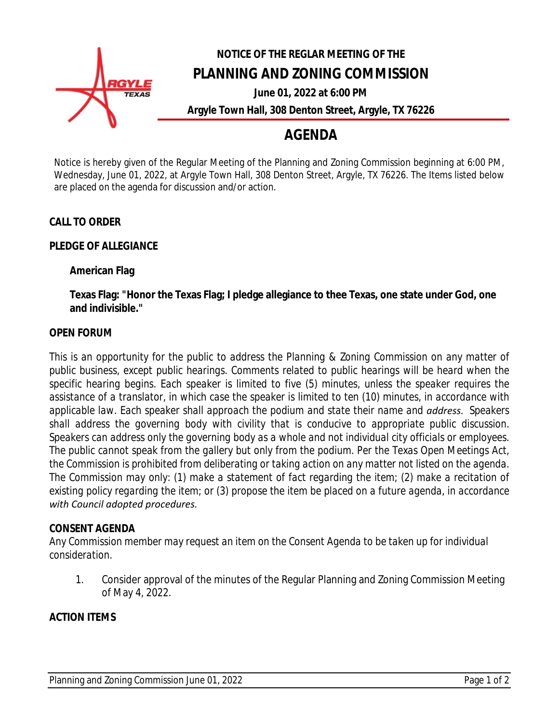

# **NOTICE OF THE REGLAR MEETING OF THE PLANNING AND ZONING COMMISSION**

**June 01, 2022 at 6:00 PM Argyle Town Hall, 308 Denton Street, Argyle, TX 76226**

## **AGENDA**

Notice is hereby given of the Regular Meeting of the Planning and Zoning Commission beginning at 6:00 PM, Wednesday, June 01, 2022, at Argyle Town Hall, 308 Denton Street, Argyle, TX 76226. The Items listed below are placed on the agenda for discussion and/or action.

#### **CALL TO ORDER**

#### **PLEDGE OF ALLEGIANCE**

#### **American Flag**

**Texas Flag: "Honor the Texas Flag; I pledge allegiance to thee Texas, one state under God, one and indivisible."**

#### **OPEN FORUM**

*This is an opportunity for the public to address the Planning & Zoning Commission on any matter of public business, except public hearings. Comments related to public hearings will be heard when the specific hearing begins. Each speaker is limited to five (5) minutes, unless the speaker requires the* assistance of a translator, in which case the speaker is limited to ten (10) minutes, in accordance with *applicable law. Each speaker shall approach the podium and state their name and address. Speakers shall address the governing body with civility that is conducive to appropriate public discussion. Speakers can address only the governing body as a whole and not individual city officials or employees.* The public cannot speak from the gallery but only from the podium. Per the Texas Open Meetings Act, *the Commission is prohibited from deliberating or taking action on any matter not listed on the agenda. The Commission may only: (1) make a statement of fact regarding the item; (2) make a recitation of* existing policy regarding the item; or (3) propose the item be placed on a future agenda, in accordance *with Council adopted procedures.* 

#### **CONSENT AGENDA**

*Any Commission member may request an item on the Consent Agenda to be taken up for individual consideration.*

1. Consider approval of the minutes of the Regular Planning and Zoning Commission Meeting of May 4, 2022.

#### **ACTION ITEMS**